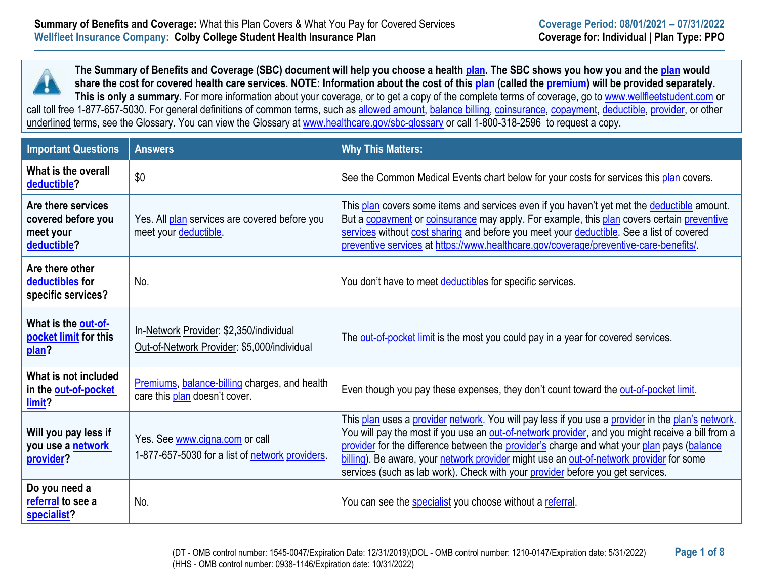

**The Summary of Benefits and Coverage (SBC) document will help you choose a health [plan.](https://www.healthcare.gov/sbc-glossary/#plan) The SBC shows you how you and the [plan](https://www.healthcare.gov/sbc-glossary/#plan) would share the cost for covered health care services. NOTE: Information about the cost of this [plan](https://www.healthcare.gov/sbc-glossary/#plan) (called the [premium\)](https://www.healthcare.gov/sbc-glossary/#premium) will be provided separately.**  This is only a summary. For more information about your coverage, or to get a copy of the complete terms of coverage, go to [www.wellfleetstudent.com](http://www.wellfleetstudent.com/) or

call toll free 1-877-657-5030. For general definitions of common terms, such as [allowed amount,](https://www.healthcare.gov/sbc-glossary/#allowed-amount) [balance billing,](https://www.healthcare.gov/sbc-glossary/#balance-billing) [coinsurance,](https://www.healthcare.gov/sbc-glossary/#coinsurance) [copayment,](https://www.healthcare.gov/sbc-glossary/#copayment) [deductible,](https://www.healthcare.gov/sbc-glossary/#deductible) [provider,](https://www.healthcare.gov/sbc-glossary/#provider) or other underlined terms, see the Glossary. You can view the Glossary at [www.healthcare.gov/sbc-glossary](http://www.healthcare.gov/sbc-glossary) or call 1-800-318-2596 to request a copy.

| <b>Important Questions</b>                                           | <b>Answers</b>                                                                         | <b>Why This Matters:</b>                                                                                                                                                                                                                                                                                                                                                                                                                                                         |
|----------------------------------------------------------------------|----------------------------------------------------------------------------------------|----------------------------------------------------------------------------------------------------------------------------------------------------------------------------------------------------------------------------------------------------------------------------------------------------------------------------------------------------------------------------------------------------------------------------------------------------------------------------------|
| What is the overall<br>deductible?                                   | \$0                                                                                    | See the Common Medical Events chart below for your costs for services this plan covers.                                                                                                                                                                                                                                                                                                                                                                                          |
| Are there services<br>covered before you<br>meet your<br>deductible? | Yes. All plan services are covered before you<br>meet your deductible.                 | This plan covers some items and services even if you haven't yet met the deductible amount.<br>But a copayment or coinsurance may apply. For example, this plan covers certain preventive<br>services without cost sharing and before you meet your deductible. See a list of covered<br>preventive services at https://www.healthcare.gov/coverage/preventive-care-benefits/.                                                                                                   |
| Are there other<br>deductibles for<br>specific services?             | No.                                                                                    | You don't have to meet deductibles for specific services.                                                                                                                                                                                                                                                                                                                                                                                                                        |
| What is the out-of-<br>pocket limit for this<br>plan?                | In-Network Provider: \$2,350/individual<br>Out-of-Network Provider: \$5,000/individual | The out-of-pocket limit is the most you could pay in a year for covered services.                                                                                                                                                                                                                                                                                                                                                                                                |
| What is not included<br>in the out-of-pocket<br>limit?               | Premiums, balance-billing charges, and health<br>care this plan doesn't cover.         | Even though you pay these expenses, they don't count toward the out-of-pocket limit.                                                                                                                                                                                                                                                                                                                                                                                             |
| Will you pay less if<br>you use a network<br>provider?               | Yes. See www.cigna.com or call<br>1-877-657-5030 for a list of network providers.      | This plan uses a provider network. You will pay less if you use a provider in the plan's network.<br>You will pay the most if you use an out-of-network provider, and you might receive a bill from a<br>provider for the difference between the provider's charge and what your plan pays (balance<br>billing). Be aware, your network provider might use an out-of-network provider for some<br>services (such as lab work). Check with your provider before you get services. |
| Do you need a<br>referral to see a<br>specialist?                    | No.                                                                                    | You can see the specialist you choose without a referral.                                                                                                                                                                                                                                                                                                                                                                                                                        |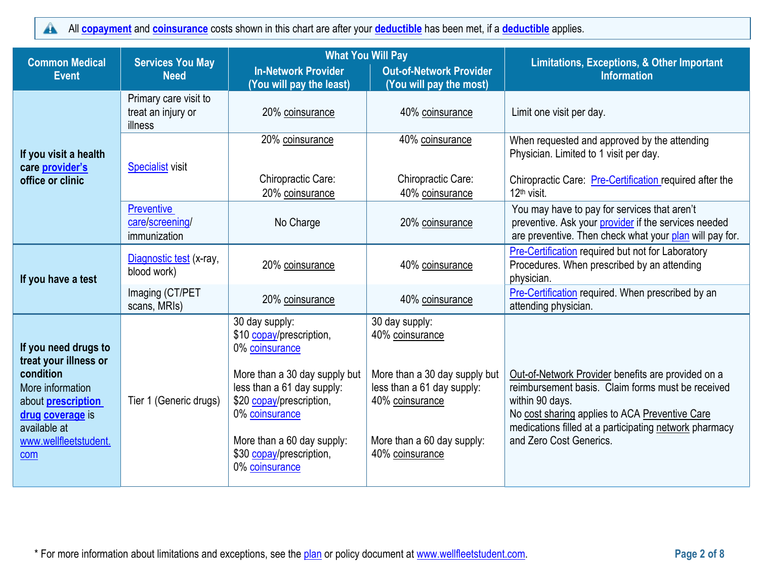#### All **[copayment](https://www.healthcare.gov/sbc-glossary/#copayment)** and **[coinsurance](https://www.healthcare.gov/sbc-glossary/#coinsurance)** costs shown in this chart are after your **[deductible](https://www.healthcare.gov/sbc-glossary/#deductible)** has been met, if a **[deductible](https://www.healthcare.gov/sbc-glossary/#deductible)** applies.  $\blacktriangle$

| <b>Common Medical</b><br><b>Event</b>                                                                                                                                           | <b>Services You May</b><br><b>Need</b>                 | <b>What You Will Pay</b><br><b>In-Network Provider</b>                                                                                                                                                                                                | <b>Out-of-Network Provider</b>                                                                                                                                       | <b>Limitations, Exceptions, &amp; Other Important</b><br><b>Information</b>                                                                                                                                                                                       |
|---------------------------------------------------------------------------------------------------------------------------------------------------------------------------------|--------------------------------------------------------|-------------------------------------------------------------------------------------------------------------------------------------------------------------------------------------------------------------------------------------------------------|----------------------------------------------------------------------------------------------------------------------------------------------------------------------|-------------------------------------------------------------------------------------------------------------------------------------------------------------------------------------------------------------------------------------------------------------------|
| If you visit a health<br>care <i>provider's</i><br>office or clinic                                                                                                             | Primary care visit to<br>treat an injury or<br>illness | (You will pay the least)<br>20% coinsurance                                                                                                                                                                                                           | (You will pay the most)<br>40% coinsurance                                                                                                                           | Limit one visit per day.                                                                                                                                                                                                                                          |
|                                                                                                                                                                                 | <b>Specialist visit</b>                                | 20% coinsurance<br><b>Chiropractic Care:</b><br>20% coinsurance                                                                                                                                                                                       | 40% coinsurance<br>Chiropractic Care:<br>40% coinsurance                                                                                                             | When requested and approved by the attending<br>Physician. Limited to 1 visit per day.<br>Chiropractic Care: Pre-Certification required after the<br>12 <sup>th</sup> visit.                                                                                      |
|                                                                                                                                                                                 | <b>Preventive</b><br>care/screening/<br>immunization   | No Charge                                                                                                                                                                                                                                             | 20% coinsurance                                                                                                                                                      | You may have to pay for services that aren't<br>preventive. Ask your provider if the services needed<br>are preventive. Then check what your plan will pay for.                                                                                                   |
| If you have a test                                                                                                                                                              | Diagnostic test (x-ray,<br>blood work)                 | 20% coinsurance                                                                                                                                                                                                                                       | 40% coinsurance                                                                                                                                                      | Pre-Certification required but not for Laboratory<br>Procedures. When prescribed by an attending<br>physician.                                                                                                                                                    |
|                                                                                                                                                                                 | Imaging (CT/PET<br>scans, MRIs)                        | 20% coinsurance                                                                                                                                                                                                                                       | 40% coinsurance                                                                                                                                                      | Pre-Certification required. When prescribed by an<br>attending physician.                                                                                                                                                                                         |
| If you need drugs to<br>treat your illness or<br>condition<br>More information<br>about <b>prescription</b><br>drug coverage is<br>available at<br>www.wellfleetstudent.<br>com | Tier 1 (Generic drugs)                                 | 30 day supply:<br>\$10 copay/prescription,<br>0% coinsurance<br>More than a 30 day supply but<br>less than a 61 day supply:<br>\$20 copay/prescription,<br>0% coinsurance<br>More than a 60 day supply:<br>\$30 copay/prescription,<br>0% coinsurance | 30 day supply:<br>40% coinsurance<br>More than a 30 day supply but<br>less than a 61 day supply:<br>40% coinsurance<br>More than a 60 day supply:<br>40% coinsurance | Out-of-Network Provider benefits are provided on a<br>reimbursement basis. Claim forms must be received<br>within 90 days.<br>No cost sharing applies to ACA Preventive Care<br>medications filled at a participating network pharmacy<br>and Zero Cost Generics. |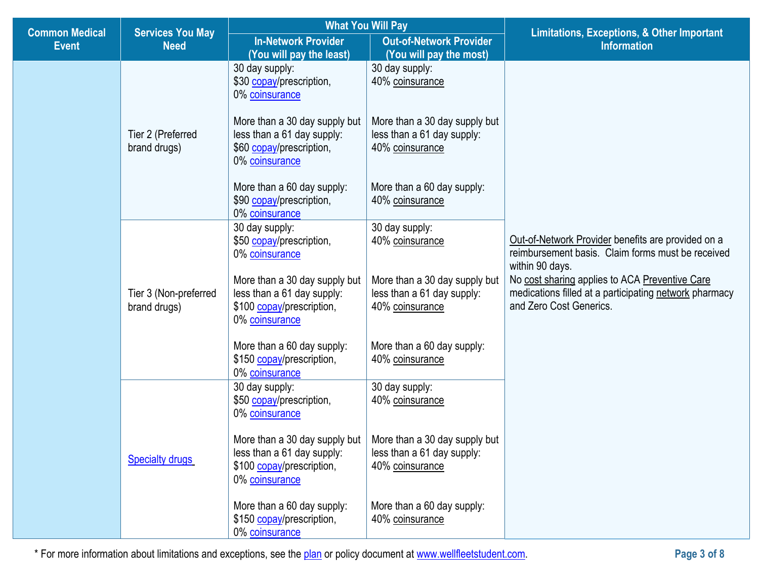| <b>Common Medical</b> | <b>Services You May</b>               | <b>What You Will Pay</b>                                                                                   |                                                                                | <b>Limitations, Exceptions, &amp; Other Important</b>                                                                                                                                                                                                             |
|-----------------------|---------------------------------------|------------------------------------------------------------------------------------------------------------|--------------------------------------------------------------------------------|-------------------------------------------------------------------------------------------------------------------------------------------------------------------------------------------------------------------------------------------------------------------|
| <b>Event</b>          | <b>Need</b>                           | <b>In-Network Provider</b><br>(You will pay the least)                                                     | <b>Out-of-Network Provider</b><br>(You will pay the most)                      | <b>Information</b>                                                                                                                                                                                                                                                |
|                       |                                       | 30 day supply:<br>\$30 copay/prescription,<br>0% coinsurance<br>More than a 30 day supply but              | 30 day supply:<br>40% coinsurance<br>More than a 30 day supply but             |                                                                                                                                                                                                                                                                   |
|                       | Tier 2 (Preferred<br>brand drugs)     | less than a 61 day supply:<br>\$60 copay/prescription,<br>0% coinsurance                                   | less than a 61 day supply:<br>40% coinsurance                                  | Out-of-Network Provider benefits are provided on a<br>reimbursement basis. Claim forms must be received<br>within 90 days.<br>No cost sharing applies to ACA Preventive Care<br>medications filled at a participating network pharmacy<br>and Zero Cost Generics. |
|                       |                                       | More than a 60 day supply:<br>\$90 copay/prescription,<br>0% coinsurance                                   | More than a 60 day supply:<br>40% coinsurance                                  |                                                                                                                                                                                                                                                                   |
|                       | Tier 3 (Non-preferred<br>brand drugs) | 30 day supply:<br>\$50 copay/prescription,<br>0% coinsurance                                               | 30 day supply:<br>40% coinsurance                                              |                                                                                                                                                                                                                                                                   |
|                       |                                       | More than a 30 day supply but<br>less than a 61 day supply:<br>\$100 copay/prescription,<br>0% coinsurance | More than a 30 day supply but<br>less than a 61 day supply:<br>40% coinsurance |                                                                                                                                                                                                                                                                   |
|                       |                                       | More than a 60 day supply:<br>\$150 copay/prescription,<br>0% coinsurance                                  | More than a 60 day supply:<br>40% coinsurance                                  |                                                                                                                                                                                                                                                                   |
|                       |                                       | 30 day supply:<br>\$50 copay/prescription,<br>0% coinsurance                                               | 30 day supply:<br>40% coinsurance                                              |                                                                                                                                                                                                                                                                   |
|                       | <b>Specialty drugs</b>                | More than a 30 day supply but<br>less than a 61 day supply:<br>\$100 copay/prescription,<br>0% coinsurance | More than a 30 day supply but<br>less than a 61 day supply:<br>40% coinsurance |                                                                                                                                                                                                                                                                   |
|                       |                                       | More than a 60 day supply:<br>\$150 copay/prescription,<br>0% coinsurance                                  | More than a 60 day supply:<br>40% coinsurance                                  |                                                                                                                                                                                                                                                                   |

г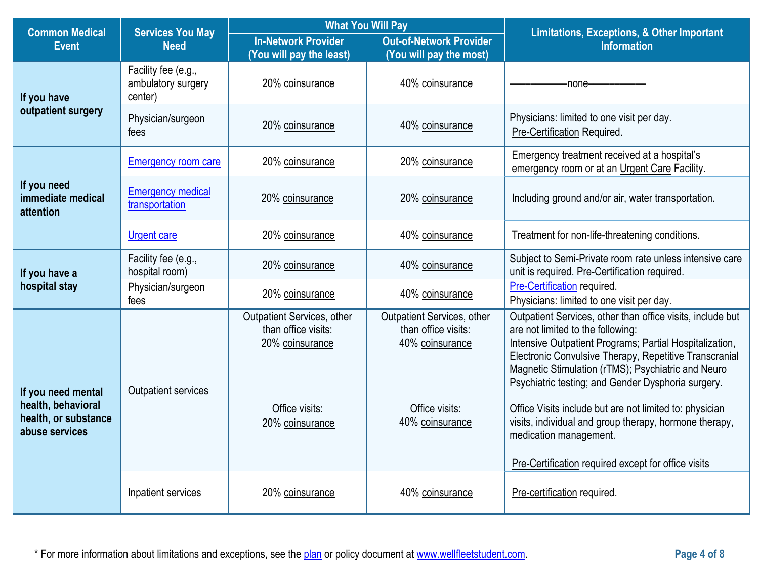| <b>Common Medical</b>                                                              | <b>Services You May</b>                              |                                                                                                           | <b>What You Will Pay</b>                                                                                  | <b>Limitations, Exceptions, &amp; Other Important</b>                                                                                                                                                                                                                                                                                                                                                                                                                           |
|------------------------------------------------------------------------------------|------------------------------------------------------|-----------------------------------------------------------------------------------------------------------|-----------------------------------------------------------------------------------------------------------|---------------------------------------------------------------------------------------------------------------------------------------------------------------------------------------------------------------------------------------------------------------------------------------------------------------------------------------------------------------------------------------------------------------------------------------------------------------------------------|
| <b>Event</b>                                                                       | <b>Need</b>                                          | <b>In-Network Provider</b><br>(You will pay the least)                                                    | <b>Out-of-Network Provider</b><br>(You will pay the most)                                                 | <b>Information</b>                                                                                                                                                                                                                                                                                                                                                                                                                                                              |
| If you have<br>outpatient surgery                                                  | Facility fee (e.g.,<br>ambulatory surgery<br>center) | 20% coinsurance                                                                                           | 40% coinsurance                                                                                           | -none-                                                                                                                                                                                                                                                                                                                                                                                                                                                                          |
|                                                                                    | Physician/surgeon<br>fees                            | 20% coinsurance                                                                                           | 40% coinsurance                                                                                           | Physicians: limited to one visit per day.<br>Pre-Certification Required.                                                                                                                                                                                                                                                                                                                                                                                                        |
|                                                                                    | <b>Emergency room care</b>                           | 20% coinsurance                                                                                           | 20% coinsurance                                                                                           | Emergency treatment received at a hospital's<br>emergency room or at an Urgent Care Facility.                                                                                                                                                                                                                                                                                                                                                                                   |
| If you need<br>immediate medical<br>attention                                      | <b>Emergency medical</b><br>transportation           | 20% coinsurance                                                                                           | 20% coinsurance                                                                                           | Including ground and/or air, water transportation.                                                                                                                                                                                                                                                                                                                                                                                                                              |
|                                                                                    | <b>Urgent care</b>                                   | 20% coinsurance                                                                                           | 40% coinsurance                                                                                           | Treatment for non-life-threatening conditions.                                                                                                                                                                                                                                                                                                                                                                                                                                  |
| If you have a<br>hospital stay                                                     | Facility fee (e.g.,<br>hospital room)                | 20% coinsurance                                                                                           | 40% coinsurance                                                                                           | Subject to Semi-Private room rate unless intensive care<br>unit is required. Pre-Certification required.                                                                                                                                                                                                                                                                                                                                                                        |
|                                                                                    | Physician/surgeon<br>fees                            | 20% coinsurance                                                                                           | 40% coinsurance                                                                                           | Pre-Certification required.<br>Physicians: limited to one visit per day.                                                                                                                                                                                                                                                                                                                                                                                                        |
| If you need mental<br>health, behavioral<br>health, or substance<br>abuse services | <b>Outpatient services</b>                           | Outpatient Services, other<br>than office visits:<br>20% coinsurance<br>Office visits:<br>20% coinsurance | Outpatient Services, other<br>than office visits:<br>40% coinsurance<br>Office visits:<br>40% coinsurance | Outpatient Services, other than office visits, include but<br>are not limited to the following:<br>Intensive Outpatient Programs; Partial Hospitalization,<br>Electronic Convulsive Therapy, Repetitive Transcranial<br>Magnetic Stimulation (rTMS); Psychiatric and Neuro<br>Psychiatric testing; and Gender Dysphoria surgery.<br>Office Visits include but are not limited to: physician<br>visits, individual and group therapy, hormone therapy,<br>medication management. |
|                                                                                    |                                                      |                                                                                                           |                                                                                                           | Pre-Certification required except for office visits                                                                                                                                                                                                                                                                                                                                                                                                                             |
|                                                                                    | Inpatient services                                   | 20% coinsurance                                                                                           | 40% coinsurance                                                                                           | Pre-certification required.                                                                                                                                                                                                                                                                                                                                                                                                                                                     |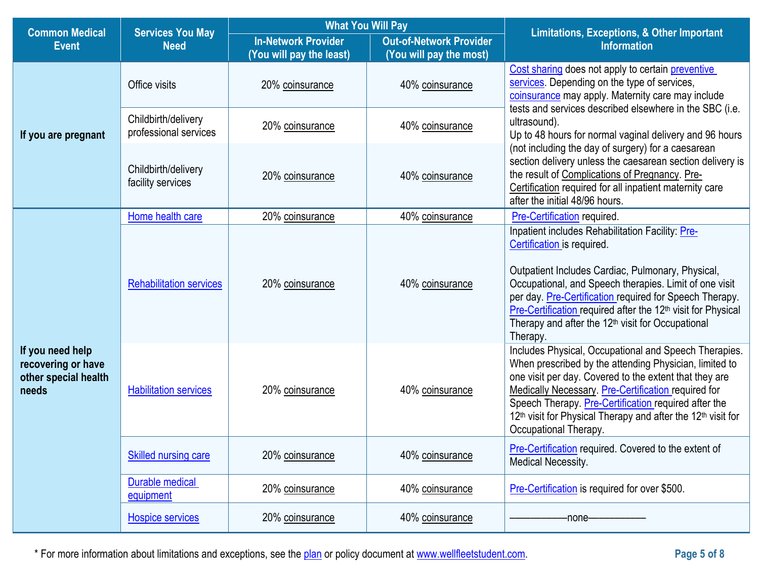|                                                                         | <b>What You Will Pay</b><br><b>Common Medical</b><br><b>Services You May</b> |                                                        |                                                           | <b>Limitations, Exceptions, &amp; Other Important</b>                                                                                                                                                                                                                                                                                                                                                             |  |
|-------------------------------------------------------------------------|------------------------------------------------------------------------------|--------------------------------------------------------|-----------------------------------------------------------|-------------------------------------------------------------------------------------------------------------------------------------------------------------------------------------------------------------------------------------------------------------------------------------------------------------------------------------------------------------------------------------------------------------------|--|
| <b>Event</b>                                                            | <b>Need</b>                                                                  | <b>In-Network Provider</b><br>(You will pay the least) | <b>Out-of-Network Provider</b><br>(You will pay the most) | <b>Information</b>                                                                                                                                                                                                                                                                                                                                                                                                |  |
| If you are pregnant                                                     | Office visits                                                                | 20% coinsurance                                        | 40% coinsurance                                           | Cost sharing does not apply to certain preventive<br>services. Depending on the type of services,<br>coinsurance may apply. Maternity care may include<br>tests and services described elsewhere in the SBC (i.e.                                                                                                                                                                                                 |  |
|                                                                         | Childbirth/delivery<br>professional services                                 | 20% coinsurance                                        | 40% coinsurance                                           | ultrasound).<br>Up to 48 hours for normal vaginal delivery and 96 hours                                                                                                                                                                                                                                                                                                                                           |  |
|                                                                         | Childbirth/delivery<br>facility services                                     | 20% coinsurance                                        | 40% coinsurance                                           | (not including the day of surgery) for a caesarean<br>section delivery unless the caesarean section delivery is<br>the result of Complications of Pregnancy. Pre-<br>Certification required for all inpatient maternity care<br>after the initial 48/96 hours.                                                                                                                                                    |  |
|                                                                         | Home health care                                                             | 20% coinsurance                                        | 40% coinsurance                                           | Pre-Certification required.                                                                                                                                                                                                                                                                                                                                                                                       |  |
| If you need help<br>recovering or have<br>other special health<br>needs | <b>Rehabilitation services</b>                                               | 20% coinsurance                                        | 40% coinsurance                                           | Inpatient includes Rehabilitation Facility: Pre-<br>Certification is required.<br>Outpatient Includes Cardiac, Pulmonary, Physical,<br>Occupational, and Speech therapies. Limit of one visit<br>per day. Pre-Certification required for Speech Therapy.<br>Pre-Certification required after the 12 <sup>th</sup> visit for Physical<br>Therapy and after the 12 <sup>th</sup> visit for Occupational<br>Therapy. |  |
|                                                                         | <b>Habilitation services</b>                                                 | 20% coinsurance                                        | 40% coinsurance                                           | Includes Physical, Occupational and Speech Therapies.<br>When prescribed by the attending Physician, limited to<br>one visit per day. Covered to the extent that they are<br><b>Medically Necessary. Pre-Certification required for</b><br>Speech Therapy. Pre-Certification required after the<br>12 <sup>th</sup> visit for Physical Therapy and after the 12 <sup>th</sup> visit for<br>Occupational Therapy.  |  |
|                                                                         | <b>Skilled nursing care</b>                                                  | 20% coinsurance                                        | 40% coinsurance                                           | Pre-Certification required. Covered to the extent of<br><b>Medical Necessity.</b>                                                                                                                                                                                                                                                                                                                                 |  |
|                                                                         | Durable medical<br>equipment                                                 | 20% coinsurance                                        | 40% coinsurance                                           | Pre-Certification is required for over \$500.                                                                                                                                                                                                                                                                                                                                                                     |  |
|                                                                         | <b>Hospice services</b>                                                      | 20% coinsurance                                        | 40% coinsurance                                           | -none-                                                                                                                                                                                                                                                                                                                                                                                                            |  |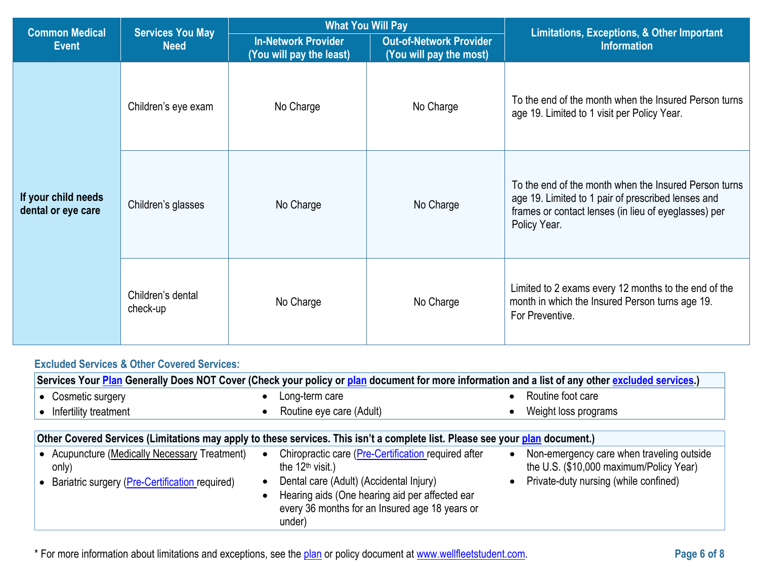| <b>Common Medical</b>                     |                                        | <b>What You Will Pay</b>                               |                                                           | Limitations, Exceptions, & Other Important                                                                                                                                          |
|-------------------------------------------|----------------------------------------|--------------------------------------------------------|-----------------------------------------------------------|-------------------------------------------------------------------------------------------------------------------------------------------------------------------------------------|
| <b>Event</b>                              | <b>Services You May</b><br><b>Need</b> | <b>In-Network Provider</b><br>(You will pay the least) | <b>Out-of-Network Provider</b><br>(You will pay the most) | <b>Information</b>                                                                                                                                                                  |
| If your child needs<br>dental or eye care | Children's eye exam                    | No Charge                                              | No Charge                                                 | To the end of the month when the Insured Person turns<br>age 19. Limited to 1 visit per Policy Year.                                                                                |
|                                           | Children's glasses                     | No Charge                                              | No Charge                                                 | To the end of the month when the Insured Person turns<br>age 19. Limited to 1 pair of prescribed lenses and<br>frames or contact lenses (in lieu of eyeglasses) per<br>Policy Year. |
|                                           | Children's dental<br>check-up          | No Charge                                              | No Charge                                                 | Limited to 2 exams every 12 months to the end of the<br>month in which the Insured Person turns age 19.<br>For Preventive.                                                          |

# **Excluded Services & Other Covered Services:**

| Services Your Plan Generally Does NOT Cover (Check your policy or plan document for more information and a list of any other excluded services.) |                                                                                                                                                                    |                                                                                      |  |  |  |
|--------------------------------------------------------------------------------------------------------------------------------------------------|--------------------------------------------------------------------------------------------------------------------------------------------------------------------|--------------------------------------------------------------------------------------|--|--|--|
| • Cosmetic surgery                                                                                                                               | Long-term care                                                                                                                                                     | Routine foot care                                                                    |  |  |  |
| Infertility treatment                                                                                                                            | Routine eye care (Adult)                                                                                                                                           | Weight loss programs                                                                 |  |  |  |
| Other Covered Services (Limitations may apply to these services. This isn't a complete list. Please see your plan document.)                     |                                                                                                                                                                    |                                                                                      |  |  |  |
| • Acupuncture (Medically Necessary Treatment)<br>only)                                                                                           | Chiropractic care (Pre-Certification required after<br>$\bullet$<br>the $12th$ visit.)                                                                             | Non-emergency care when traveling outside<br>the U.S. (\$10,000 maximum/Policy Year) |  |  |  |
| Bariatric surgery (Pre-Certification required)<br>$\bullet$                                                                                      | Dental care (Adult) (Accidental Injury)<br>$\bullet$<br>Hearing aids (One hearing aid per affected ear<br>every 36 months for an Insured age 18 years or<br>under) | • Private-duty nursing (while confined)                                              |  |  |  |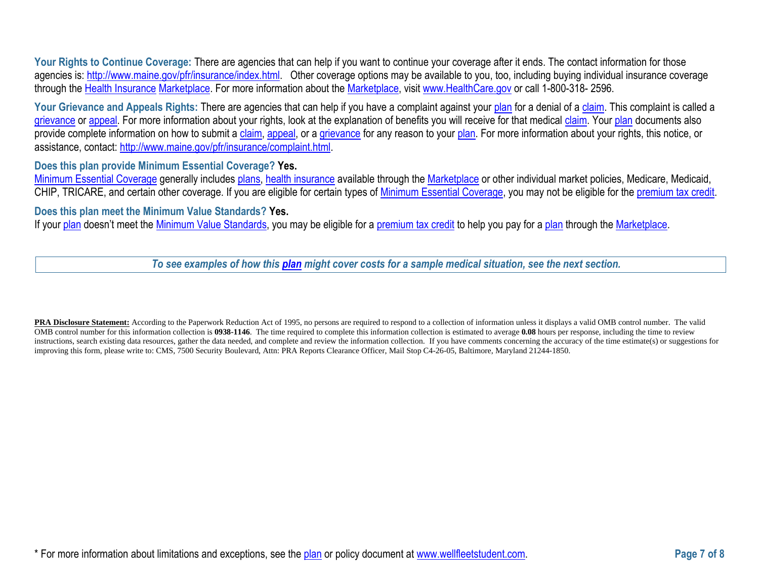Your Rights to Continue Coverage: There are agencies that can help if you want to continue your coverage after it ends. The contact information for those agencies is: [http://www.maine.gov/pfr/insurance/index.html.](http://www.maine.gov/pfr/insurance/index.html) Other coverage options may be available to you, too, including buying individual insurance coverage through the [Health Insurance](https://www.healthcare.gov/sbc-glossary/#health-insurance) [Marketplace.](https://www.healthcare.gov/sbc-glossary/#marketplace) For more information about the [Marketplace,](https://www.healthcare.gov/sbc-glossary/#marketplace) visit [www.HealthCare.gov](http://www.healthcare.gov/) or call 1-800-318- 2596.

Your Grievance and Appeals Rights: There are agencies that can help if you have a complaint against your [plan](https://www.healthcare.gov/sbc-glossary/#plan) for a denial of a [claim.](https://www.healthcare.gov/sbc-glossary/#claim) This complaint is called a [grievance](https://www.healthcare.gov/sbc-glossary/#grievance) or [appeal.](https://www.healthcare.gov/sbc-glossary/#appeal) For more information about your rights, look at the explanation of benefits you will receive for that medical [claim.](https://www.healthcare.gov/sbc-glossary/#claim) Your [plan](https://www.healthcare.gov/sbc-glossary/#plan) documents also provide complete information on how to submit a [claim,](https://www.healthcare.gov/sbc-glossary/#claim) [appeal,](https://www.healthcare.gov/sbc-glossary/#appeal) or a [grievance](https://www.healthcare.gov/sbc-glossary/#grievance) for any reason to your [plan.](https://www.healthcare.gov/sbc-glossary/#plan) For more information about your rights, this notice, or assistance, contact: [http://www.maine.gov/pfr/insurance/complaint.html.](http://www.maine.gov/pfr/insurance/complaint.html)

#### **Does this plan provide Minimum Essential Coverage? Yes.**

[Minimum Essential Coverage](https://www.healthcare.gov/sbc-glossary/#minimum-essential-coverage) generally includes [plans,](https://www.healthcare.gov/sbc-glossary/#plan) [health insurance](https://www.healthcare.gov/sbc-glossary/#health-insurance) available through the [Marketplace](https://www.healthcare.gov/sbc-glossary/#marketplace) or other individual market policies, Medicare, Medicaid, CHIP, TRICARE, and certain other coverage. If you are eligible for certain types of [Minimum Essential Coverage,](https://www.healthcare.gov/sbc-glossary/#minimum-essential-coverage) you may not be eligible for the [premium tax credit.](https://www.healthcare.gov/sbc-glossary/#premium-tax-credits)

#### **Does this plan meet the Minimum Value Standards? Yes.**

If your [plan](https://www.healthcare.gov/sbc-glossary/#plan) doesn't meet the [Minimum Value Standards,](https://www.healthcare.gov/sbc-glossary/#minimum-value-standard) you may be eligible for a [premium tax credit](https://www.healthcare.gov/sbc-glossary/#premium-tax-credits) to help you pay for a plan through the [Marketplace.](https://www.healthcare.gov/sbc-glossary/#marketplace)

*To see examples of how this [plan](https://www.healthcare.gov/sbc-glossary/#plan) might cover costs for a sample medical situation, see the next section.*

PRA Disclosure Statement: According to the Paperwork Reduction Act of 1995, no persons are required to respond to a collection of information unless it displays a valid OMB control number. The valid OMB control number for this information collection is **0938-1146**. The time required to complete this information collection is estimated to average **0.08** hours per response, including the time to review instructions, search existing data resources, gather the data needed, and complete and review the information collection. If you have comments concerning the accuracy of the time estimate(s) or suggestions for improving this form, please write to: CMS, 7500 Security Boulevard, Attn: PRA Reports Clearance Officer, Mail Stop C4-26-05, Baltimore, Maryland 21244-1850.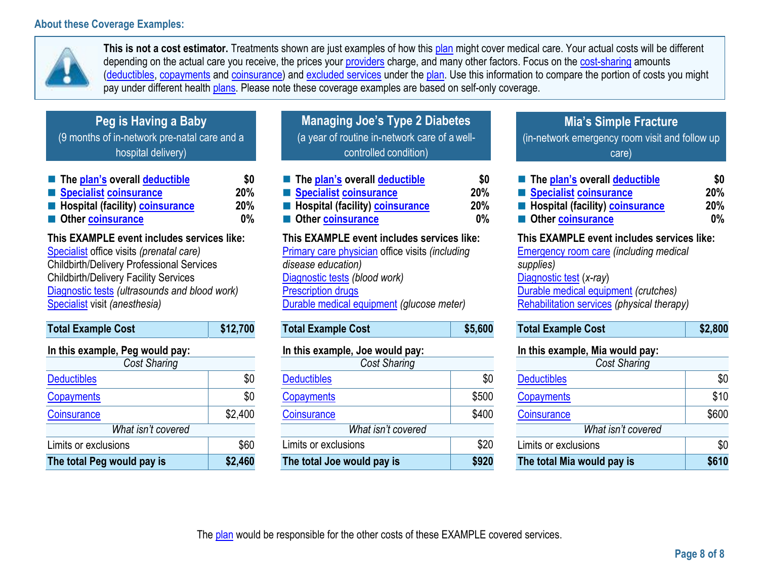# **About these Coverage Examples:**



**This is not a cost estimator.** Treatments shown are just examples of how this [plan](https://www.healthcare.gov/sbc-glossary/#plan) might cover medical care. Your actual costs will be different depending on the actual care you receive, the prices your [providers](https://www.healthcare.gov/sbc-glossary/#provider) charge, and many other factors. Focus on the [cost-sharing](https://www.healthcare.gov/sbc-glossary/#cost-sharing) amounts [\(deductibles,](https://www.healthcare.gov/sbc-glossary/#deductible) [copayments](https://www.healthcare.gov/sbc-glossary/#copayment) and [coinsurance\)](https://www.healthcare.gov/sbc-glossary/#coinsurance) and [excluded services](https://www.healthcare.gov/sbc-glossary/#excluded-services) under the [plan.](https://www.healthcare.gov/sbc-glossary/#plan) Use this information to compare the portion of costs you might pay under different health [plans.](https://www.healthcare.gov/sbc-glossary/#plan) Please note these coverage examples are based on self-only coverage.

| Peg is Having a Baby                         |
|----------------------------------------------|
| (9 months of in-network pre-natal care and a |
| hospital delivery)                           |

| The plan's overall deductible                   | \$0        |
|-------------------------------------------------|------------|
| Specialist coinsurance                          | <b>20%</b> |
| <b>E</b> Hospital (facility) <b>coinsurance</b> | <b>20%</b> |
| Other coinsurance                               | $0\%$      |

# **This EXAMPLE event includes services like:**

[Specialist](https://www.healthcare.gov/sbc-glossary/#specialist) office visits *(prenatal care)* Childbirth/Delivery Professional Services Childbirth/Delivery Facility Services [Diagnostic tests](https://www.healthcare.gov/sbc-glossary/#diagnostic-test) *(ultrasounds and blood work)* [Specialist](https://www.healthcare.gov/sbc-glossary/#specialist) visit *(anesthesia)*

| <b>Total Example Cost</b>       | \$12,700 |  |
|---------------------------------|----------|--|
| In this example, Peg would pay: |          |  |
| Cost Sharing                    |          |  |
| <b>Deductibles</b>              | \$0      |  |
| Copayments                      | \$0      |  |
| Coinsurance                     | \$2,400  |  |
| What isn't covered              |          |  |
| Limits or exclusions            | \$60     |  |
| The total Peg would pay is      | \$2,460  |  |

| <b>Managing Joe's Type 2 Diabetes</b>         |
|-----------------------------------------------|
| (a year of routine in-network care of a well- |
| controlled condition)                         |

| ■ The plan's overall deductible                 | \$0 |
|-------------------------------------------------|-----|
| Specialist coinsurance                          | 20% |
| <b>E</b> Hospital (facility) <b>coinsurance</b> | 20% |
| Other coinsurance                               | 0%  |
| This EVAMDLE quant includes services like:      |     |

# **This EXAMPLE event includes services like:**

[Primary care physician](https://www.healthcare.gov/sbc-glossary/#primary-care-physician) office visits *(including disease education)* [Diagnostic tests](https://www.healthcare.gov/sbc-glossary/#diagnostic-test) *(blood work)* **[Prescription drugs](https://www.healthcare.gov/sbc-glossary/#prescription-drug-coverage)** [Durable medical equipment](https://www.healthcare.gov/sbc-glossary/#durable-medical-equipment) *(glucose meter)*

| <b>Total Example Cost</b> | \$5,600 |
|---------------------------|---------|
|                           |         |

# **In this example, Joe would pay:**

| Cost Sharing               |       |
|----------------------------|-------|
| <b>Deductibles</b>         | \$0   |
| <b>Copayments</b>          | \$500 |
| <b>Coinsurance</b>         | \$400 |
| What isn't covered         |       |
| Limits or exclusions       | \$20  |
| The total Joe would pay is | \$920 |

# **Mia's Simple Fracture**

(in-network emergency room visit and follow up care)

| ■ The plan's overall deductible                 | \$0   |
|-------------------------------------------------|-------|
| Specialist coinsurance                          | 20%   |
| <b>E</b> Hospital (facility) <b>coinsurance</b> | 20%   |
| Other coinsurance                               | $0\%$ |

## **This EXAMPLE event includes services like:**

[Emergency room care](https://www.healthcare.gov/sbc-glossary/#emergency-room-care-emergency-services) *(including medical supplies)* [Diagnostic test](https://www.healthcare.gov/sbc-glossary/#diagnostic-test) (*x-ray*) [Durable medical equipment](https://www.healthcare.gov/sbc-glossary/#durable-medical-equipment) *(crutches)* [Rehabilitation services](https://www.healthcare.gov/sbc-glossary/#rehabilitation-services) *(physical therapy)*

| <b>Total Example Cost</b> | \$2,800 |
|---------------------------|---------|
|---------------------------|---------|

## **In this example, Mia would pay:**

| <b>Cost Sharing</b>        |       |
|----------------------------|-------|
| <b>Deductibles</b>         | \$0   |
| Copayments                 | \$10  |
| Coinsurance                | \$600 |
| What isn't covered         |       |
| Limits or exclusions       | \$0   |
| The total Mia would pay is | \$610 |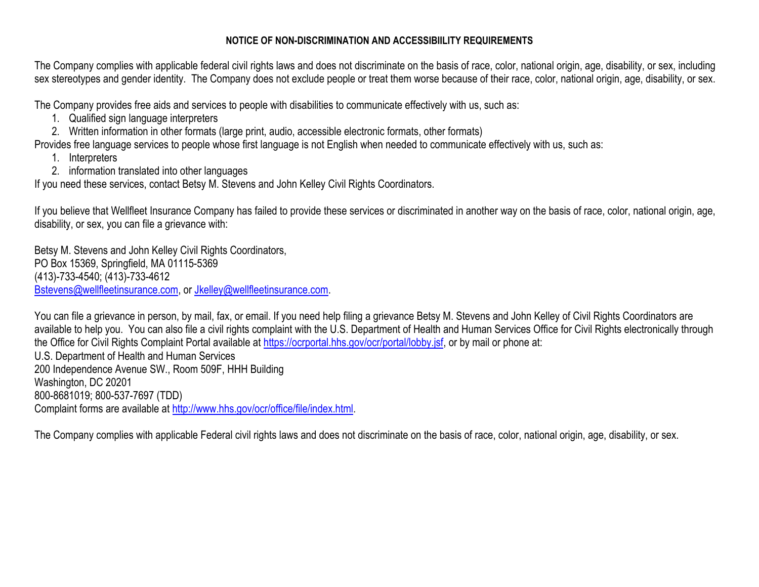## **NOTICE OF NON-DISCRIMINATION AND ACCESSIBIILITY REQUIREMENTS**

The Company complies with applicable federal civil rights laws and does not discriminate on the basis of race, color, national origin, age, disability, or sex, including sex stereotypes and gender identity. The Company does not exclude people or treat them worse because of their race, color, national origin, age, disability, or sex.

The Company provides free aids and services to people with disabilities to communicate effectively with us, such as:

- 1. Qualified sign language interpreters
- 2. Written information in other formats (large print, audio, accessible electronic formats, other formats)

Provides free language services to people whose first language is not English when needed to communicate effectively with us, such as:

- 1. Interpreters
- 2. information translated into other languages

If you need these services, contact Betsy M. Stevens and John Kelley Civil Rights Coordinators.

If you believe that Wellfleet Insurance Company has failed to provide these services or discriminated in another way on the basis of race, color, national origin, age, disability, or sex, you can file a grievance with:

Betsy M. Stevens and John Kelley Civil Rights Coordinators, PO Box 15369, Springfield, MA 01115-5369 (413)-733-4540; (413)-733-4612 [Bstevens@wellfleetinsurance.com,](mailto:Bstevens@wellfleetinsurance.com) or [Jkelley@wellfleetinsurance.com.](mailto:Jkelley@wellfleetinsurance.com)

You can file a grievance in person, by mail, fax, or email. If you need help filing a grievance Betsy M. Stevens and John Kelley of Civil Rights Coordinators are available to help you. You can also file a civil rights complaint with the U.S. Department of Health and Human Services Office for Civil Rights electronically through the Office for Civil Rights Complaint Portal available at [https://ocrportal.hhs.gov/ocr/portal/lobby.jsf,](https://ocrportal.hhs.gov/ocr/portal/lobby.jsf) or by mail or phone at: U.S. Department of Health and Human Services 200 Independence Avenue SW., Room 509F, HHH Building Washington, DC 20201 800-8681019; 800-537-7697 (TDD) Complaint forms are available at [http://www.hhs.gov/ocr/office/file/index.html.](http://www.hhs.gov/ocr/office/file/index.html)

The Company complies with applicable Federal civil rights laws and does not discriminate on the basis of race, color, national origin, age, disability, or sex.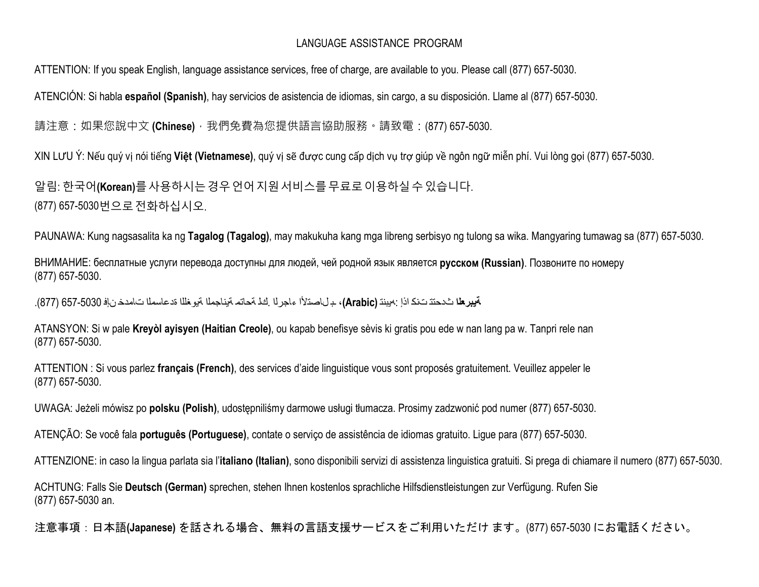# LANGUAGE ASSISTANCE PROGRAM

ATTENTION: If you speak English, language assistance services, free of charge, are available to you. Please call (877) 657-5030.

ATENCIÓN: Si habla **español (Spanish)**, hay servicios de asistencia de idiomas, sin cargo, a su disposición. Llame al (877) 657-5030.

請注意:如果您說中文 **(Chinese)** · 我們免費為您提供語言協助服務 · 請致電:(877) 657-5030.

XIN LƯU Ý: Nếu quý vị nói tiếng **Việt (Vietnamese)**, quý vị sẽ được cung cấp dịch vụ trợ giúp về ngôn ngữ miễn phí. Vui lòng gọi (877) 657-5030.

알림: 한국어**(Korean)**를사용하시는경우언어지원서비스를무료로이용하실수있습니다. (877) 657-5030번으로전화하십시오.

PAUNAWA: Kung nagsasalita ka ng **Tagalog (Tagalog)**, may makukuha kang mga libreng serbisyo ng tulong sa wika. Mangyaring tumawag sa (877) 657-5030.

ВНИМАНИЕ: бесплатные услуги перевода доступны для людей, чей родной язык является **русском (Russian)**. Позвоните по номеру (877) 657-5030.

**ةيبرعلا** ثدحتت تنك اذإ :هيبنت **(Arabic(**، ـ ب لاصتلأا ءاجرلا .كل ةحاتم ةيناجملا ةيوغللا ةدعاسملا تامدخ نإف 657-5030 (877).

ATANSYON: Si w pale **Kreyòl ayisyen (Haitian Creole)**, ou kapab benefisye sèvis ki gratis pou ede w nan lang pa w. Tanpri rele nan (877) 657-5030.

ATTENTION : Si vous parlez **français (French)**, des services d'aide linguistique vous sont proposés gratuitement. Veuillez appeler le (877) 657-5030.

UWAGA: Jeżeli mówisz po **polsku (Polish)**, udostępniliśmy darmowe usługi tłumacza. Prosimy zadzwonić pod numer (877) 657-5030.

ATENÇÃO: Se você fala **português (Portuguese)**, contate o serviço de assistência de idiomas gratuito. Ligue para (877) 657-5030.

ATTENZIONE: in caso la lingua parlata sia l'**italiano (Italian)**, sono disponibili servizi di assistenza linguistica gratuiti. Si prega di chiamare il numero (877) 657-5030.

ACHTUNG: Falls Sie **Deutsch (German)** sprechen, stehen Ihnen kostenlos sprachliche Hilfsdienstleistungen zur Verfügung. Rufen Sie (877) 657-5030 an.

注意事項:日本語**(Japanese)** を話される場合、無料の言語支援サービスをご利用いただけ ます。(877) 657-5030 にお電話ください。